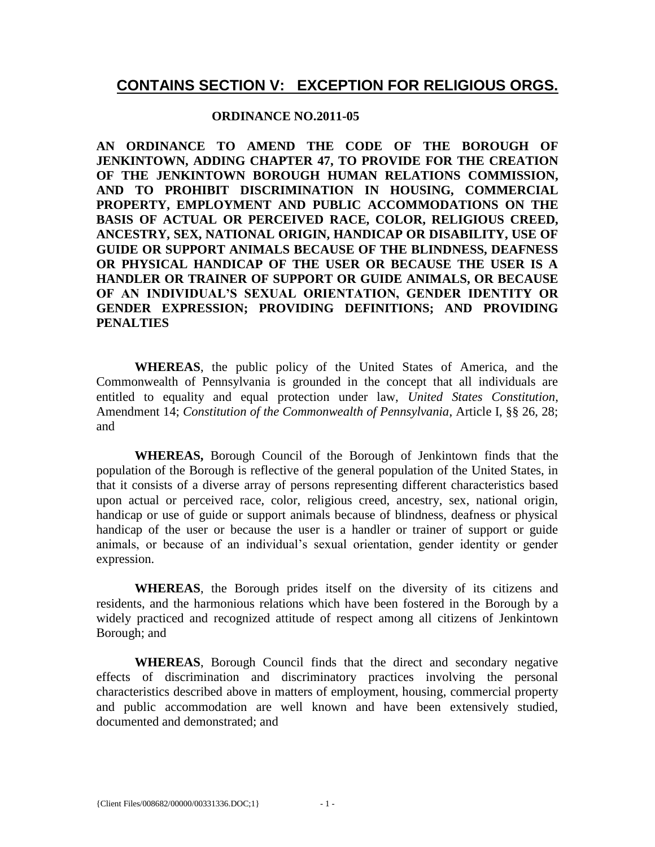# **CONTAINS SECTION V: EXCEPTION FOR RELIGIOUS ORGS.**

#### **ORDINANCE NO.2011-05**

**AN ORDINANCE TO AMEND THE CODE OF THE BOROUGH OF JENKINTOWN, ADDING CHAPTER 47, TO PROVIDE FOR THE CREATION OF THE JENKINTOWN BOROUGH HUMAN RELATIONS COMMISSION, AND TO PROHIBIT DISCRIMINATION IN HOUSING, COMMERCIAL PROPERTY, EMPLOYMENT AND PUBLIC ACCOMMODATIONS ON THE BASIS OF ACTUAL OR PERCEIVED RACE, COLOR, RELIGIOUS CREED, ANCESTRY, SEX, NATIONAL ORIGIN, HANDICAP OR DISABILITY, USE OF GUIDE OR SUPPORT ANIMALS BECAUSE OF THE BLINDNESS, DEAFNESS OR PHYSICAL HANDICAP OF THE USER OR BECAUSE THE USER IS A HANDLER OR TRAINER OF SUPPORT OR GUIDE ANIMALS, OR BECAUSE OF AN INDIVIDUAL'S SEXUAL ORIENTATION, GENDER IDENTITY OR GENDER EXPRESSION; PROVIDING DEFINITIONS; AND PROVIDING PENALTIES**

**WHEREAS**, the public policy of the United States of America, and the Commonwealth of Pennsylvania is grounded in the concept that all individuals are entitled to equality and equal protection under law, *United States Constitution*, Amendment 14; *Constitution of the Commonwealth of Pennsylvania*, Article I, §§ 26, 28; and

**WHEREAS,** Borough Council of the Borough of Jenkintown finds that the population of the Borough is reflective of the general population of the United States, in that it consists of a diverse array of persons representing different characteristics based upon actual or perceived race, color, religious creed, ancestry, sex, national origin, handicap or use of guide or support animals because of blindness, deafness or physical handicap of the user or because the user is a handler or trainer of support or guide animals, or because of an individual's sexual orientation, gender identity or gender expression.

**WHEREAS**, the Borough prides itself on the diversity of its citizens and residents, and the harmonious relations which have been fostered in the Borough by a widely practiced and recognized attitude of respect among all citizens of Jenkintown Borough; and

**WHEREAS**, Borough Council finds that the direct and secondary negative effects of discrimination and discriminatory practices involving the personal characteristics described above in matters of employment, housing, commercial property and public accommodation are well known and have been extensively studied, documented and demonstrated; and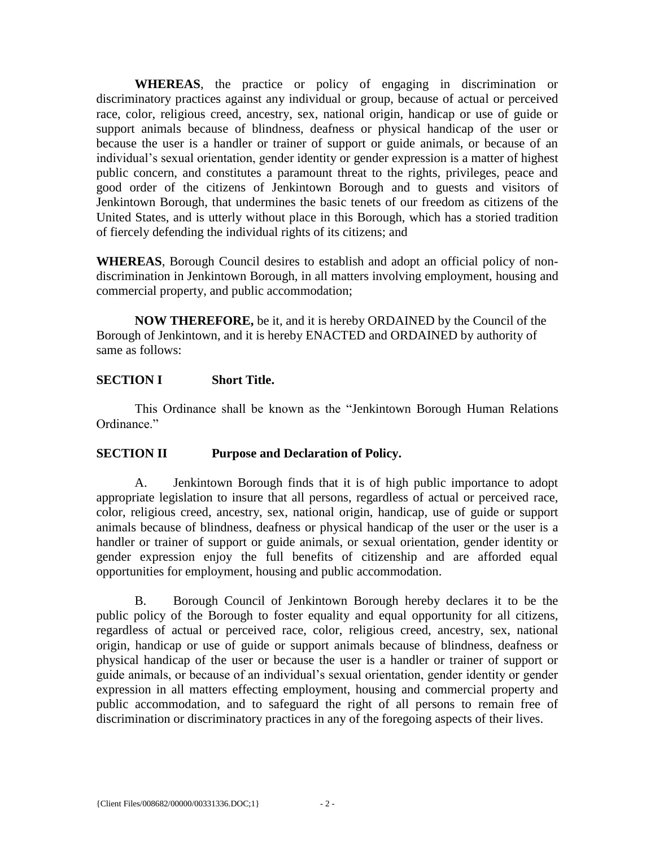**WHEREAS**, the practice or policy of engaging in discrimination or discriminatory practices against any individual or group, because of actual or perceived race, color, religious creed, ancestry, sex, national origin, handicap or use of guide or support animals because of blindness, deafness or physical handicap of the user or because the user is a handler or trainer of support or guide animals, or because of an individual's sexual orientation, gender identity or gender expression is a matter of highest public concern, and constitutes a paramount threat to the rights, privileges, peace and good order of the citizens of Jenkintown Borough and to guests and visitors of Jenkintown Borough, that undermines the basic tenets of our freedom as citizens of the United States, and is utterly without place in this Borough, which has a storied tradition of fiercely defending the individual rights of its citizens; and

**WHEREAS**, Borough Council desires to establish and adopt an official policy of nondiscrimination in Jenkintown Borough, in all matters involving employment, housing and commercial property, and public accommodation;

**NOW THEREFORE,** be it, and it is hereby ORDAINED by the Council of the Borough of Jenkintown, and it is hereby ENACTED and ORDAINED by authority of same as follows:

### **SECTION I Short Title.**

This Ordinance shall be known as the "Jenkintown Borough Human Relations Ordinance."

### **SECTION II Purpose and Declaration of Policy.**

A. Jenkintown Borough finds that it is of high public importance to adopt appropriate legislation to insure that all persons, regardless of actual or perceived race, color, religious creed, ancestry, sex, national origin, handicap, use of guide or support animals because of blindness, deafness or physical handicap of the user or the user is a handler or trainer of support or guide animals, or sexual orientation, gender identity or gender expression enjoy the full benefits of citizenship and are afforded equal opportunities for employment, housing and public accommodation.

B. Borough Council of Jenkintown Borough hereby declares it to be the public policy of the Borough to foster equality and equal opportunity for all citizens, regardless of actual or perceived race, color, religious creed, ancestry, sex, national origin, handicap or use of guide or support animals because of blindness, deafness or physical handicap of the user or because the user is a handler or trainer of support or guide animals, or because of an individual's sexual orientation, gender identity or gender expression in all matters effecting employment, housing and commercial property and public accommodation, and to safeguard the right of all persons to remain free of discrimination or discriminatory practices in any of the foregoing aspects of their lives.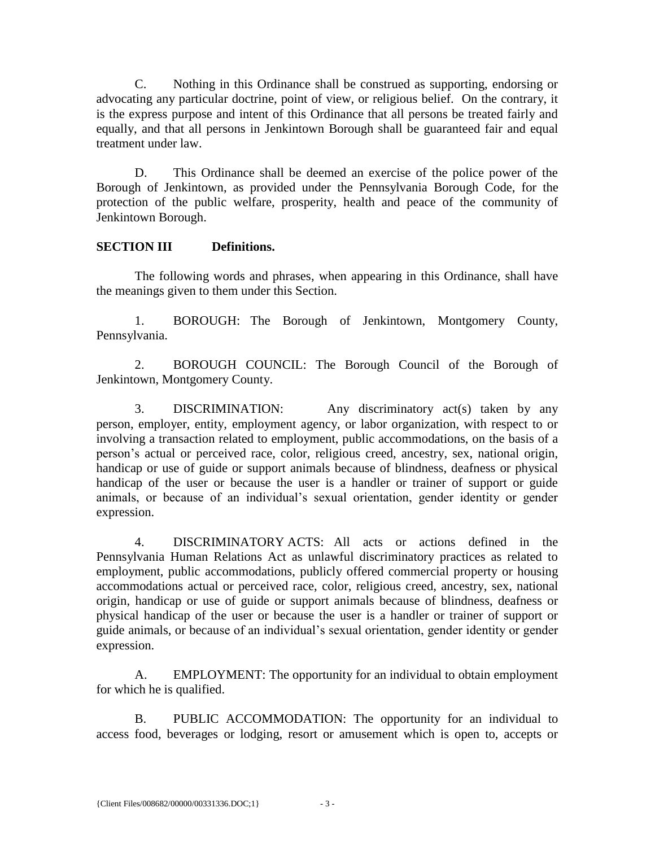C. Nothing in this Ordinance shall be construed as supporting, endorsing or advocating any particular doctrine, point of view, or religious belief. On the contrary, it is the express purpose and intent of this Ordinance that all persons be treated fairly and equally, and that all persons in Jenkintown Borough shall be guaranteed fair and equal treatment under law.

D. This Ordinance shall be deemed an exercise of the police power of the Borough of Jenkintown, as provided under the Pennsylvania Borough Code, for the protection of the public welfare, prosperity, health and peace of the community of Jenkintown Borough.

## **SECTION III Definitions.**

The following words and phrases, when appearing in this Ordinance, shall have the meanings given to them under this Section.

1. BOROUGH: The Borough of Jenkintown, Montgomery County, Pennsylvania.

2. BOROUGH COUNCIL: The Borough Council of the Borough of Jenkintown, Montgomery County.

3. DISCRIMINATION: Any discriminatory act(s) taken by any person, employer, entity, employment agency, or labor organization, with respect to or involving a transaction related to employment, public accommodations, on the basis of a person's actual or perceived race, color, religious creed, ancestry, sex, national origin, handicap or use of guide or support animals because of blindness, deafness or physical handicap of the user or because the user is a handler or trainer of support or guide animals, or because of an individual's sexual orientation, gender identity or gender expression.

4. DISCRIMINATORY ACTS: All acts or actions defined in the Pennsylvania Human Relations Act as unlawful discriminatory practices as related to employment, public accommodations, publicly offered commercial property or housing accommodations actual or perceived race, color, religious creed, ancestry, sex, national origin, handicap or use of guide or support animals because of blindness, deafness or physical handicap of the user or because the user is a handler or trainer of support or guide animals, or because of an individual's sexual orientation, gender identity or gender expression.

A. EMPLOYMENT: The opportunity for an individual to obtain employment for which he is qualified.

B. PUBLIC ACCOMMODATION: The opportunity for an individual to access food, beverages or lodging, resort or amusement which is open to, accepts or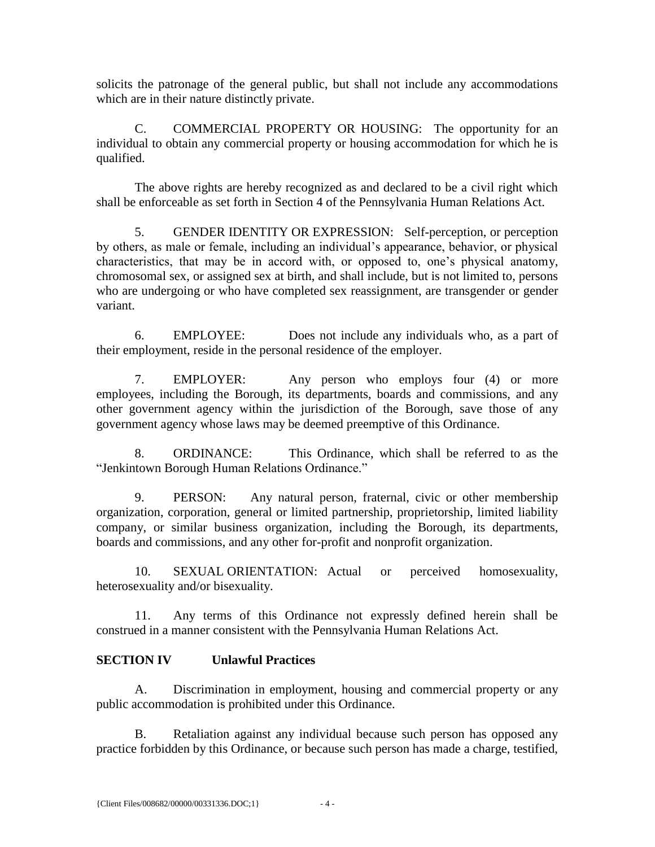solicits the patronage of the general public, but shall not include any accommodations which are in their nature distinctly private.

C. COMMERCIAL PROPERTY OR HOUSING: The opportunity for an individual to obtain any commercial property or housing accommodation for which he is qualified.

The above rights are hereby recognized as and declared to be a civil right which shall be enforceable as set forth in Section 4 of the Pennsylvania Human Relations Act.

5. GENDER IDENTITY OR EXPRESSION: Self-perception, or perception by others, as male or female, including an individual's appearance, behavior, or physical characteristics, that may be in accord with, or opposed to, one's physical anatomy, chromosomal sex, or assigned sex at birth, and shall include, but is not limited to, persons who are undergoing or who have completed sex reassignment, are transgender or gender variant.

6. EMPLOYEE: Does not include any individuals who, as a part of their employment, reside in the personal residence of the employer.

7. EMPLOYER: Any person who employs four (4) or more employees, including the Borough, its departments, boards and commissions, and any other government agency within the jurisdiction of the Borough, save those of any government agency whose laws may be deemed preemptive of this Ordinance.

8. ORDINANCE: This Ordinance, which shall be referred to as the "Jenkintown Borough Human Relations Ordinance."

9. PERSON: Any natural person, fraternal, civic or other membership organization, corporation, general or limited partnership, proprietorship, limited liability company, or similar business organization, including the Borough, its departments, boards and commissions, and any other for-profit and nonprofit organization.

10. SEXUAL ORIENTATION: Actual or perceived homosexuality, heterosexuality and/or bisexuality.

11. Any terms of this Ordinance not expressly defined herein shall be construed in a manner consistent with the Pennsylvania Human Relations Act.

## **SECTION IV Unlawful Practices**

A. Discrimination in employment, housing and commercial property or any public accommodation is prohibited under this Ordinance.

B. Retaliation against any individual because such person has opposed any practice forbidden by this Ordinance, or because such person has made a charge, testified,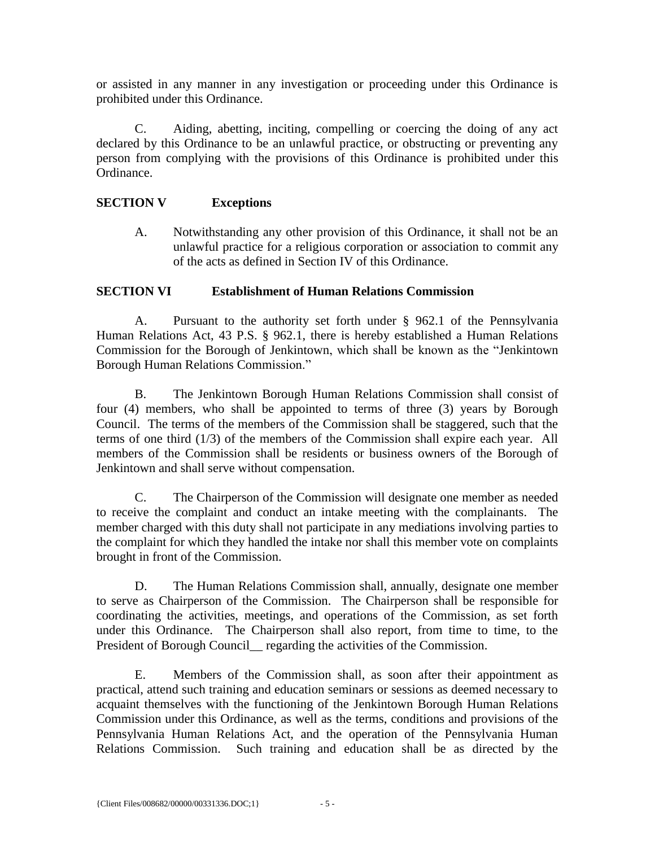or assisted in any manner in any investigation or proceeding under this Ordinance is prohibited under this Ordinance.

C. Aiding, abetting, inciting, compelling or coercing the doing of any act declared by this Ordinance to be an unlawful practice, or obstructing or preventing any person from complying with the provisions of this Ordinance is prohibited under this Ordinance.

### **SECTION V Exceptions**

A. Notwithstanding any other provision of this Ordinance, it shall not be an unlawful practice for a religious corporation or association to commit any of the acts as defined in Section IV of this Ordinance.

#### **SECTION VI Establishment of Human Relations Commission**

A. Pursuant to the authority set forth under § 962.1 of the Pennsylvania Human Relations Act, 43 P.S. § 962.1, there is hereby established a Human Relations Commission for the Borough of Jenkintown, which shall be known as the "Jenkintown Borough Human Relations Commission."

B. The Jenkintown Borough Human Relations Commission shall consist of four (4) members, who shall be appointed to terms of three (3) years by Borough Council. The terms of the members of the Commission shall be staggered, such that the terms of one third (1/3) of the members of the Commission shall expire each year. All members of the Commission shall be residents or business owners of the Borough of Jenkintown and shall serve without compensation.

C. The Chairperson of the Commission will designate one member as needed to receive the complaint and conduct an intake meeting with the complainants. The member charged with this duty shall not participate in any mediations involving parties to the complaint for which they handled the intake nor shall this member vote on complaints brought in front of the Commission.

D. The Human Relations Commission shall, annually, designate one member to serve as Chairperson of the Commission. The Chairperson shall be responsible for coordinating the activities, meetings, and operations of the Commission, as set forth under this Ordinance. The Chairperson shall also report, from time to time, to the President of Borough Council\_ regarding the activities of the Commission.

E. Members of the Commission shall, as soon after their appointment as practical, attend such training and education seminars or sessions as deemed necessary to acquaint themselves with the functioning of the Jenkintown Borough Human Relations Commission under this Ordinance, as well as the terms, conditions and provisions of the Pennsylvania Human Relations Act, and the operation of the Pennsylvania Human Relations Commission. Such training and education shall be as directed by the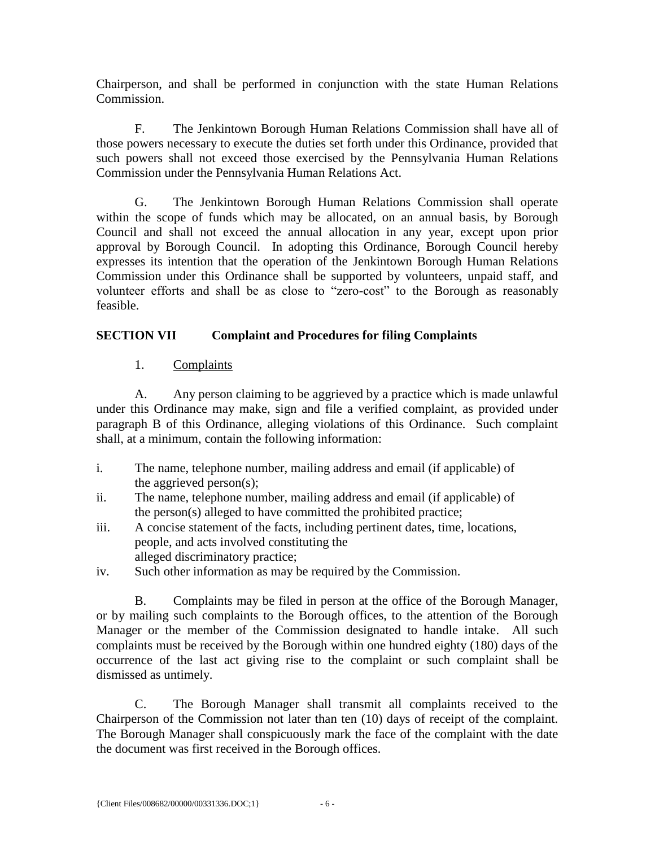Chairperson, and shall be performed in conjunction with the state Human Relations Commission.

F. The Jenkintown Borough Human Relations Commission shall have all of those powers necessary to execute the duties set forth under this Ordinance, provided that such powers shall not exceed those exercised by the Pennsylvania Human Relations Commission under the Pennsylvania Human Relations Act.

G. The Jenkintown Borough Human Relations Commission shall operate within the scope of funds which may be allocated, on an annual basis, by Borough Council and shall not exceed the annual allocation in any year, except upon prior approval by Borough Council. In adopting this Ordinance, Borough Council hereby expresses its intention that the operation of the Jenkintown Borough Human Relations Commission under this Ordinance shall be supported by volunteers, unpaid staff, and volunteer efforts and shall be as close to "zero-cost" to the Borough as reasonably feasible.

## **SECTION VII Complaint and Procedures for filing Complaints**

## 1. Complaints

A. Any person claiming to be aggrieved by a practice which is made unlawful under this Ordinance may make, sign and file a verified complaint, as provided under paragraph B of this Ordinance, alleging violations of this Ordinance. Such complaint shall, at a minimum, contain the following information:

- i. The name, telephone number, mailing address and email (if applicable) of the aggrieved person(s);
- ii. The name, telephone number, mailing address and email (if applicable) of the person(s) alleged to have committed the prohibited practice;
- iii. A concise statement of the facts, including pertinent dates, time, locations, people, and acts involved constituting the alleged discriminatory practice;
- iv. Such other information as may be required by the Commission.

B. Complaints may be filed in person at the office of the Borough Manager, or by mailing such complaints to the Borough offices, to the attention of the Borough Manager or the member of the Commission designated to handle intake. All such complaints must be received by the Borough within one hundred eighty (180) days of the occurrence of the last act giving rise to the complaint or such complaint shall be dismissed as untimely.

C. The Borough Manager shall transmit all complaints received to the Chairperson of the Commission not later than ten (10) days of receipt of the complaint. The Borough Manager shall conspicuously mark the face of the complaint with the date the document was first received in the Borough offices.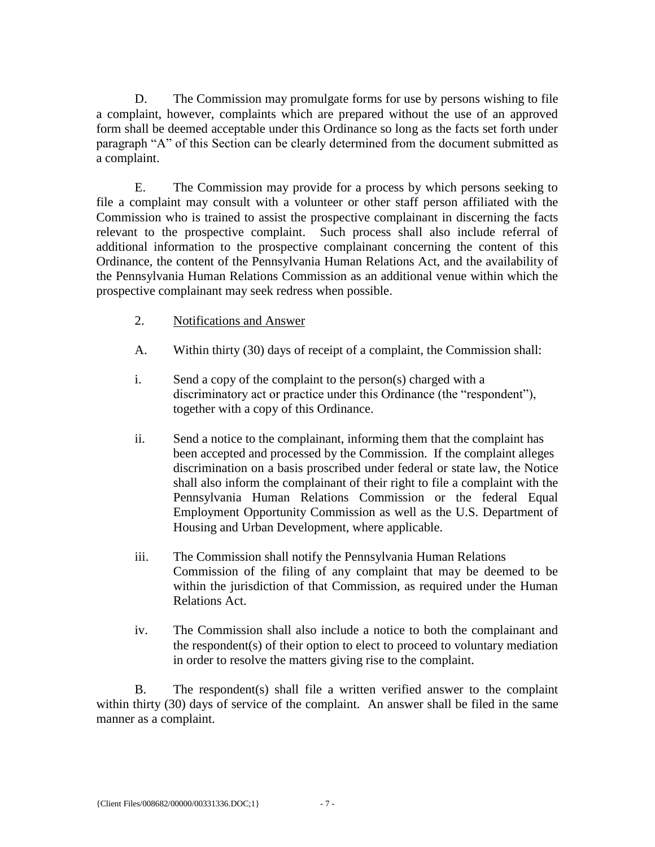D. The Commission may promulgate forms for use by persons wishing to file a complaint, however, complaints which are prepared without the use of an approved form shall be deemed acceptable under this Ordinance so long as the facts set forth under paragraph "A" of this Section can be clearly determined from the document submitted as a complaint.

E. The Commission may provide for a process by which persons seeking to file a complaint may consult with a volunteer or other staff person affiliated with the Commission who is trained to assist the prospective complainant in discerning the facts relevant to the prospective complaint. Such process shall also include referral of additional information to the prospective complainant concerning the content of this Ordinance, the content of the Pennsylvania Human Relations Act, and the availability of the Pennsylvania Human Relations Commission as an additional venue within which the prospective complainant may seek redress when possible.

- 2. Notifications and Answer
- A. Within thirty (30) days of receipt of a complaint, the Commission shall:
- i. Send a copy of the complaint to the person(s) charged with a discriminatory act or practice under this Ordinance (the "respondent"), together with a copy of this Ordinance.
- ii. Send a notice to the complainant, informing them that the complaint has been accepted and processed by the Commission. If the complaint alleges discrimination on a basis proscribed under federal or state law, the Notice shall also inform the complainant of their right to file a complaint with the Pennsylvania Human Relations Commission or the federal Equal Employment Opportunity Commission as well as the U.S. Department of Housing and Urban Development, where applicable.
- iii. The Commission shall notify the Pennsylvania Human Relations Commission of the filing of any complaint that may be deemed to be within the jurisdiction of that Commission, as required under the Human Relations Act.
- iv. The Commission shall also include a notice to both the complainant and the respondent(s) of their option to elect to proceed to voluntary mediation in order to resolve the matters giving rise to the complaint.

B. The respondent(s) shall file a written verified answer to the complaint within thirty (30) days of service of the complaint. An answer shall be filed in the same manner as a complaint.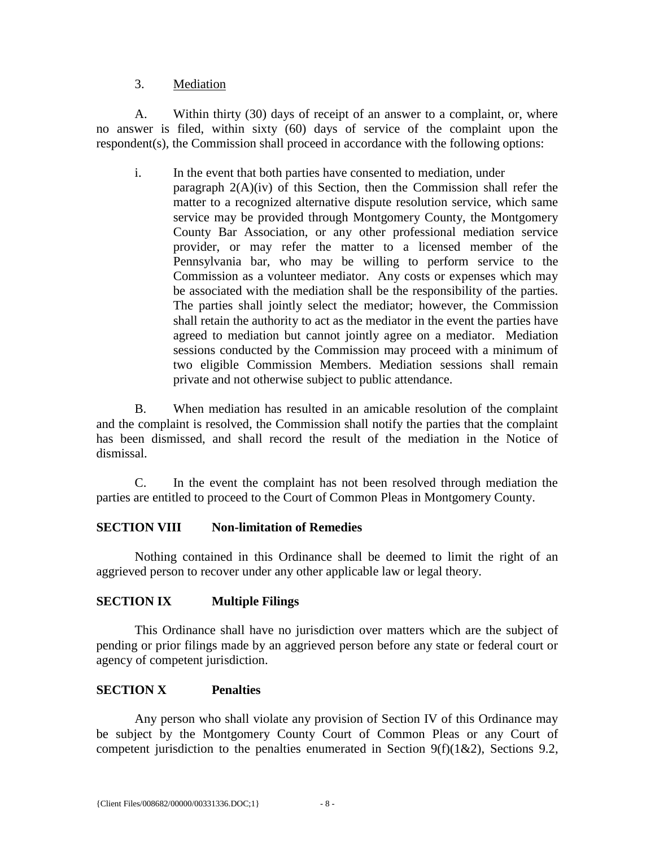#### 3. Mediation

A. Within thirty (30) days of receipt of an answer to a complaint, or, where no answer is filed, within sixty (60) days of service of the complaint upon the respondent(s), the Commission shall proceed in accordance with the following options:

i. In the event that both parties have consented to mediation, under paragraph 2(A)(iv) of this Section, then the Commission shall refer the matter to a recognized alternative dispute resolution service, which same service may be provided through Montgomery County, the Montgomery County Bar Association, or any other professional mediation service provider, or may refer the matter to a licensed member of the Pennsylvania bar, who may be willing to perform service to the Commission as a volunteer mediator. Any costs or expenses which may be associated with the mediation shall be the responsibility of the parties. The parties shall jointly select the mediator; however, the Commission shall retain the authority to act as the mediator in the event the parties have agreed to mediation but cannot jointly agree on a mediator. Mediation sessions conducted by the Commission may proceed with a minimum of two eligible Commission Members. Mediation sessions shall remain private and not otherwise subject to public attendance.

B. When mediation has resulted in an amicable resolution of the complaint and the complaint is resolved, the Commission shall notify the parties that the complaint has been dismissed, and shall record the result of the mediation in the Notice of dismissal.

C. In the event the complaint has not been resolved through mediation the parties are entitled to proceed to the Court of Common Pleas in Montgomery County.

### **SECTION VIII Non-limitation of Remedies**

Nothing contained in this Ordinance shall be deemed to limit the right of an aggrieved person to recover under any other applicable law or legal theory.

### **SECTION IX Multiple Filings**

This Ordinance shall have no jurisdiction over matters which are the subject of pending or prior filings made by an aggrieved person before any state or federal court or agency of competent jurisdiction.

### **SECTION X Penalties**

Any person who shall violate any provision of Section IV of this Ordinance may be subject by the Montgomery County Court of Common Pleas or any Court of competent jurisdiction to the penalties enumerated in Section  $9(f)(1\&2)$ , Sections 9.2,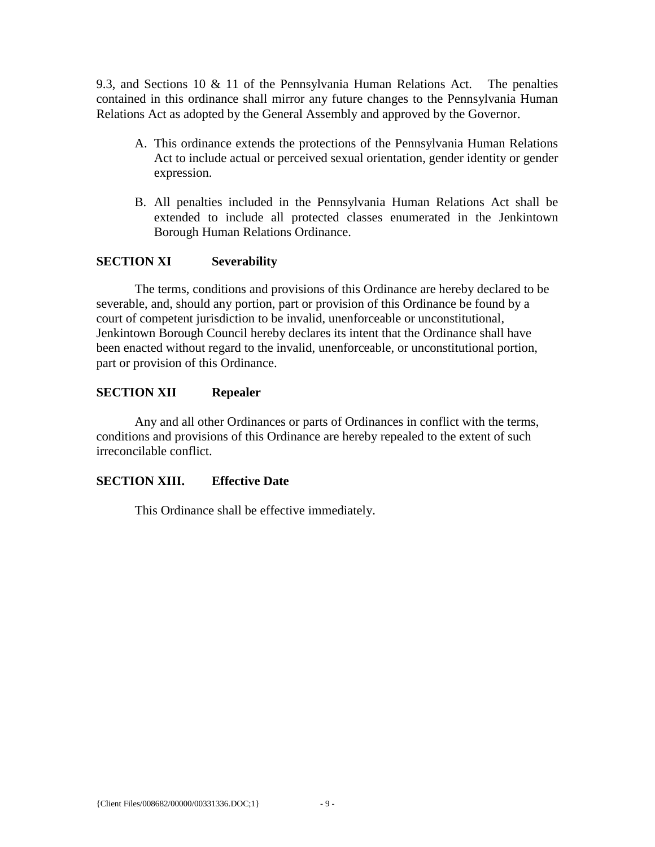9.3, and Sections 10 & 11 of the Pennsylvania Human Relations Act. The penalties contained in this ordinance shall mirror any future changes to the Pennsylvania Human Relations Act as adopted by the General Assembly and approved by the Governor.

- A. This ordinance extends the protections of the Pennsylvania Human Relations Act to include actual or perceived sexual orientation, gender identity or gender expression.
- B. All penalties included in the Pennsylvania Human Relations Act shall be extended to include all protected classes enumerated in the Jenkintown Borough Human Relations Ordinance.

### **SECTION XI Severability**

The terms, conditions and provisions of this Ordinance are hereby declared to be severable, and, should any portion, part or provision of this Ordinance be found by a court of competent jurisdiction to be invalid, unenforceable or unconstitutional, Jenkintown Borough Council hereby declares its intent that the Ordinance shall have been enacted without regard to the invalid, unenforceable, or unconstitutional portion, part or provision of this Ordinance.

### **SECTION XII Repealer**

Any and all other Ordinances or parts of Ordinances in conflict with the terms, conditions and provisions of this Ordinance are hereby repealed to the extent of such irreconcilable conflict.

## **SECTION XIII. Effective Date**

This Ordinance shall be effective immediately.